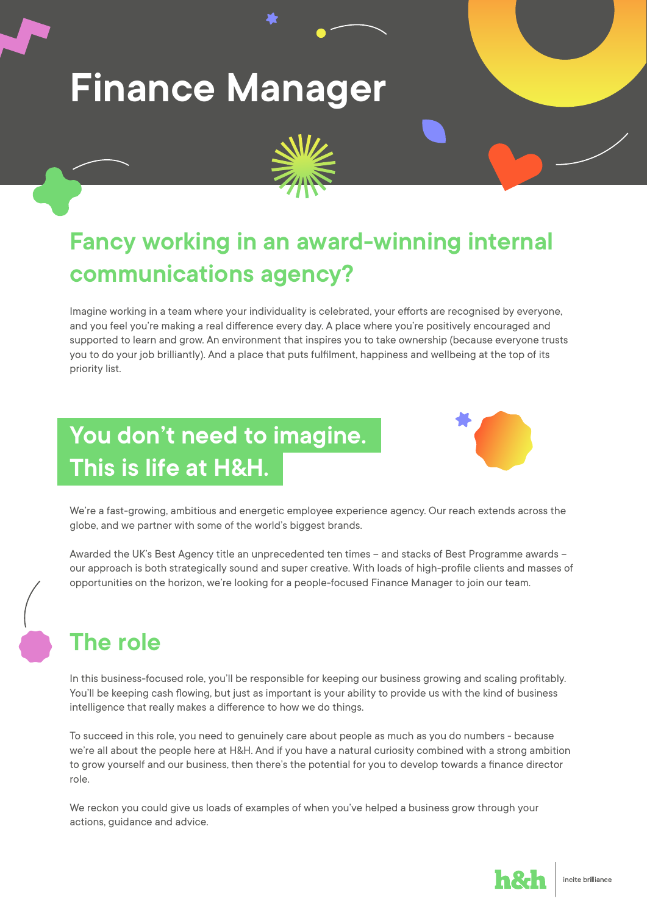# **Finance Manager**



## **Fancy working in an award-winning internal communications agency?**

Imagine working in a team where your individuality is celebrated, your efforts are recognised by everyone, and you feel you're making a real difference every day. A place where you're positively encouraged and supported to learn and grow. An environment that inspires you to take ownership (because everyone trusts you to do your job brilliantly). And a place that puts fulfilment, happiness and wellbeing at the top of its priority list.

## **You don't need to imagine. This is life at H&H.**



We're a fast-growing, ambitious and energetic employee experience agency. Our reach extends across the globe, and we partner with some of the world's biggest brands.

Awarded the UK's Best Agency title an unprecedented ten times – and stacks of Best Programme awards – our approach is both strategically sound and super creative. With loads of high-profile clients and masses of opportunities on the horizon, we're looking for a people-focused Finance Manager to join our team.

#### **The role**

In this business-focused role, you'll be responsible for keeping our business growing and scaling profitably. You'll be keeping cash flowing, but just as important is your ability to provide us with the kind of business intelligence that really makes a difference to how we do things.

To succeed in this role, you need to genuinely care about people as much as you do numbers - because we're all about the people here at H&H. And if you have a natural curiosity combined with a strong ambition to grow yourself and our business, then there's the potential for you to develop towards a finance director role.

We reckon you could give us loads of examples of when you've helped a business grow through your actions, guidance and advice.